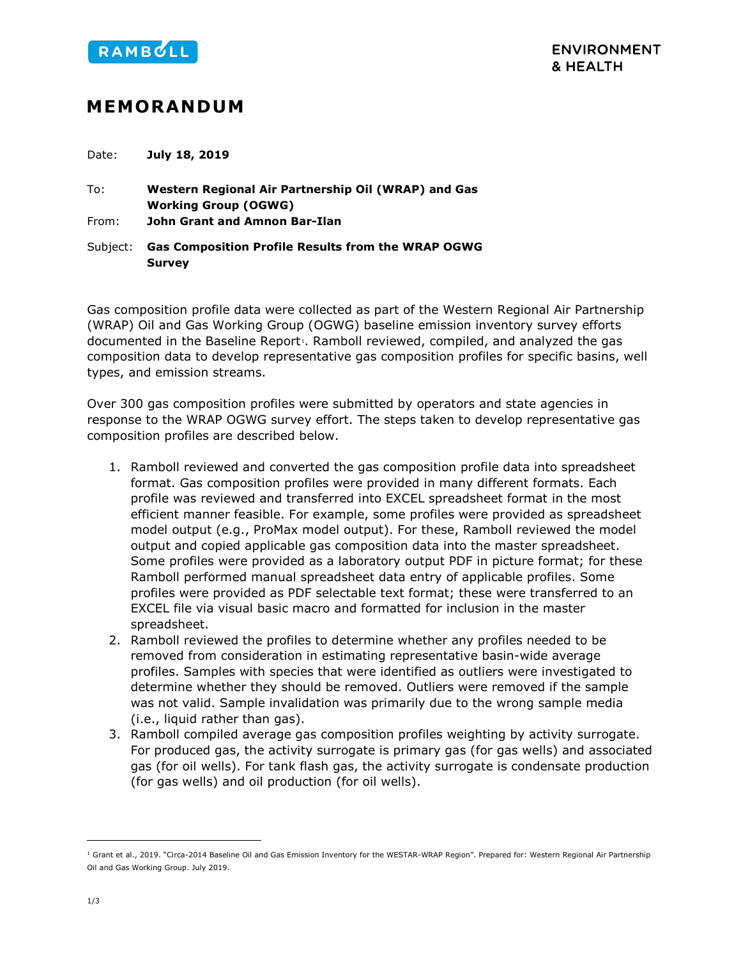

## **MEMORANDUM**

Date: **July 18, 2019**

To: **Western Regional Air Partnership Oil (WRAP) and Gas Working Group (OGWG)** From: **John Grant and Amnon Bar-Ilan**

Subject: **Gas Composition Profile Results from the WRAP OGWG Survey**

Gas composition profile data were collected as part of the Western Regional Air Partnership (WRAP) Oil and Gas Working Group (OGWG) baseline emission inventory survey efforts documented in the Baseline Report<sup>1</sup>. Ramboll reviewed, compiled, and analyzed the gas composition data to develop representative gas composition profiles for specific basins, well types, and emission streams.

Over 300 gas composition profiles were submitted by operators and state agencies in response to the WRAP OGWG survey effort. The steps taken to develop representative gas composition profiles are described below.

- 1. Ramboll reviewed and converted the gas composition profile data into spreadsheet format. Gas composition profiles were provided in many different formats. Each profile was reviewed and transferred into EXCEL spreadsheet format in the most efficient manner feasible. For example, some profiles were provided as spreadsheet model output (e.g., ProMax model output). For these, Ramboll reviewed the model output and copied applicable gas composition data into the master spreadsheet. Some profiles were provided as a laboratory output PDF in picture format; for these Ramboll performed manual spreadsheet data entry of applicable profiles. Some profiles were provided as PDF selectable text format; these were transferred to an EXCEL file via visual basic macro and formatted for inclusion in the master spreadsheet.
- 2. Ramboll reviewed the profiles to determine whether any profiles needed to be removed from consideration in estimating representative basin-wide average profiles. Samples with species that were identified as outliers were investigated to determine whether they should be removed. Outliers were removed if the sample was not valid. Sample invalidation was primarily due to the wrong sample media (i.e., liquid rather than gas).
- 3. Ramboll compiled average gas composition profiles weighting by activity surrogate. For produced gas, the activity surrogate is primary gas (for gas wells) and associated gas (for oil wells). For tank flash gas, the activity surrogate is condensate production (for gas wells) and oil production (for oil wells).

<span id="page-0-0"></span><sup>&</sup>lt;sup>1</sup> Grant et al., 2019. "Circa-2014 Baseline Oil and Gas Emission Inventory for the WESTAR-WRAP Region". Prepared for: Western Regional Air Partnership Oil and Gas Working Group. July 2019.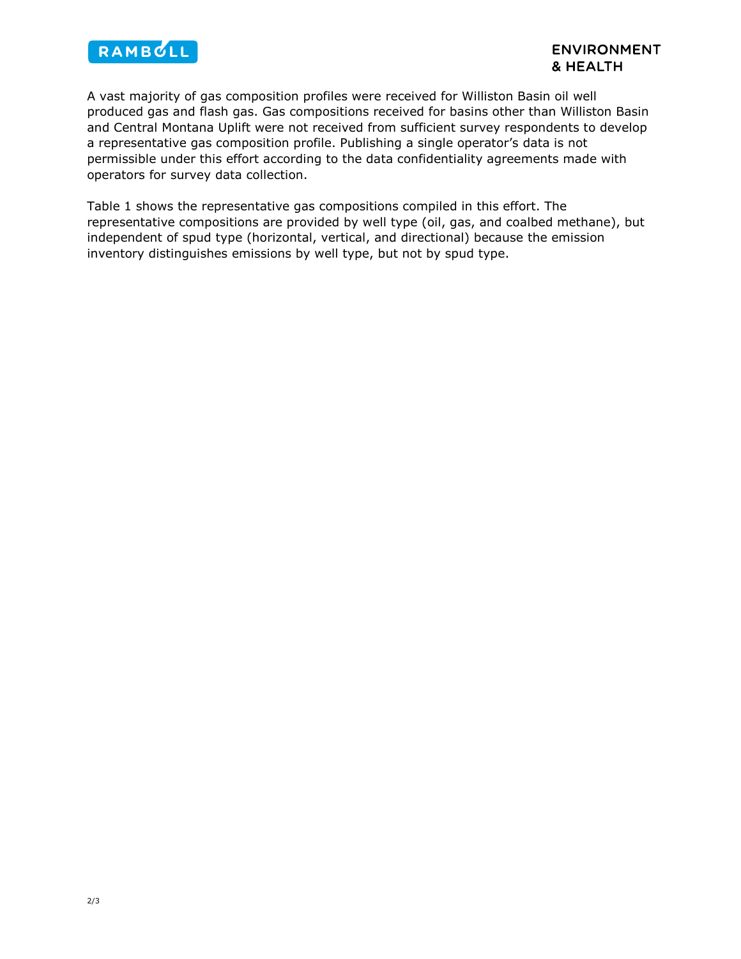

A vast majority of gas composition profiles were received for Williston Basin oil well produced gas and flash gas. Gas compositions received for basins other than Williston Basin and Central Montana Uplift were not received from sufficient survey respondents to develop a representative gas composition profile. Publishing a single operator's data is not permissible under this effort according to the data confidentiality agreements made with operators for survey data collection.

Table 1 shows the representative gas compositions compiled in this effort. The representative compositions are provided by well type (oil, gas, and coalbed methane), but independent of spud type (horizontal, vertical, and directional) because the emission inventory distinguishes emissions by well type, but not by spud type.